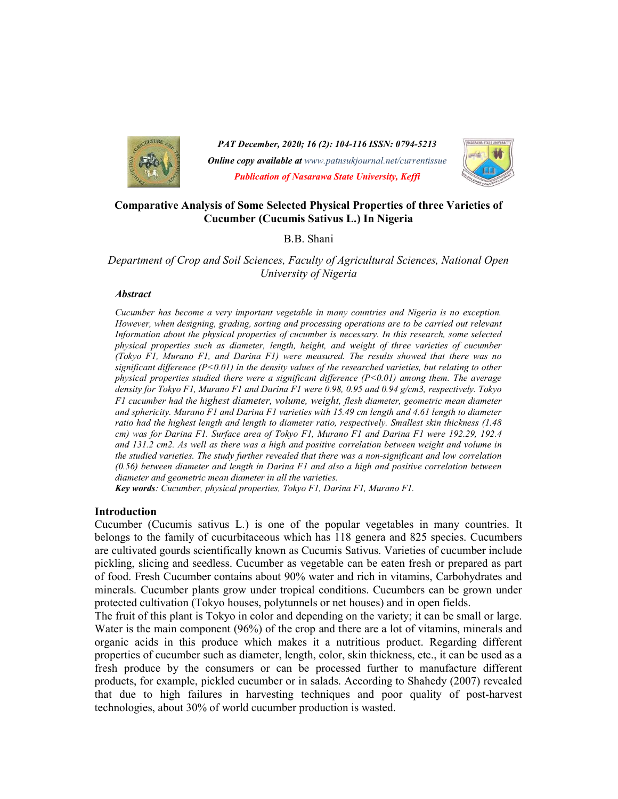

PAT December, 2020; 16 (2): 104-116 ISSN: 0794-5213 **Online copy available at** www.patnsukjournal.net/currentissue Publication of Nasarawa State University, Keffi



### Comparative Analysis of Some Selected Physical Properties of three Varieties of Cucumber (Cucumis Sativus L.) In Nigeria

B.B. Shani

### Department of Crop and Soil Sciences, Faculty of Agricultural Sciences, National Open University of Nigeria

#### **Abstract**

Cucumber has become a very important vegetable in many countries and Nigeria is no exception. However, when designing, grading, sorting and processing operations are to be carried out relevant Information about the physical properties of cucumber is necessary. In this research, some selected physical properties such as diameter, length, height, and weight of three varieties of cucumber (Tokyo F1, Murano F1, and Darina F1) were measured. The results showed that there was no significant difference  $(P<0.01)$  in the density values of the researched varieties, but relating to other physical properties studied there were a significant difference  $(P<0.01)$  among them. The average density for Tokyo F1, Murano F1 and Darina F1 were 0.98, 0.95 and 0.94 g/cm3, respectively. Tokyo F1 cucumber had the highest diameter, volume, weight, flesh diameter, geometric mean diameter and sphericity. Murano F1 and Darina F1 varieties with 15.49 cm length and 4.61 length to diameter ratio had the highest length and length to diameter ratio, respectively. Smallest skin thickness (1.48 cm) was for Darina F1. Surface area of Tokyo F1, Murano F1 and Darina F1 were 192.29, 192.4 and 131.2 cm2. As well as there was a high and positive correlation between weight and volume in the studied varieties. The study further revealed that there was a non-significant and low correlation (0.56) between diameter and length in Darina F1 and also a high and positive correlation between diameter and geometric mean diameter in all the varieties.

Key words: Cucumber, physical properties, Tokyo F1, Darina F1, Murano F1.

#### Introduction

Cucumber (Cucumis sativus L.) is one of the popular vegetables in many countries. It belongs to the family of cucurbitaceous which has 118 genera and 825 species. Cucumbers are cultivated gourds scientifically known as Cucumis Sativus. Varieties of cucumber include pickling, slicing and seedless. Cucumber as vegetable can be eaten fresh or prepared as part of food. Fresh Cucumber contains about 90% water and rich in vitamins, Carbohydrates and minerals. Cucumber plants grow under tropical conditions. Cucumbers can be grown under protected cultivation (Tokyo houses, polytunnels or net houses) and in open fields.

The fruit of this plant is Tokyo in color and depending on the variety; it can be small or large. Water is the main component (96%) of the crop and there are a lot of vitamins, minerals and organic acids in this produce which makes it a nutritious product. Regarding different properties of cucumber such as diameter, length, color, skin thickness, etc., it can be used as a fresh produce by the consumers or can be processed further to manufacture different products, for example, pickled cucumber or in salads. According to Shahedy (2007) revealed that due to high failures in harvesting techniques and poor quality of post-harvest technologies, about 30% of world cucumber production is wasted.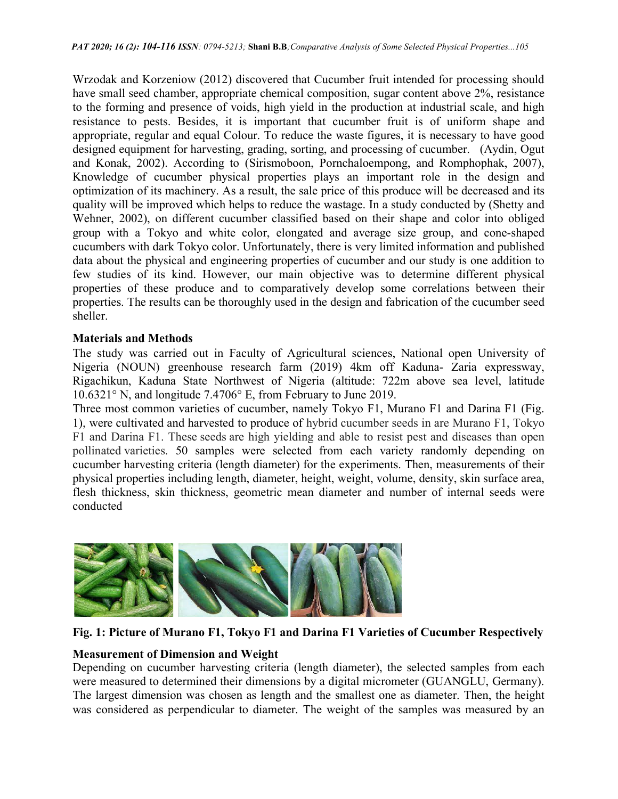Wrzodak and Korzeniow (2012) discovered that Cucumber fruit intended for processing should have small seed chamber, appropriate chemical composition, sugar content above 2%, resistance to the forming and presence of voids, high yield in the production at industrial scale, and high resistance to pests. Besides, it is important that cucumber fruit is of uniform shape and appropriate, regular and equal Colour. To reduce the waste figures, it is necessary to have good designed equipment for harvesting, grading, sorting, and processing of cucumber. (Aydin, Ogut and Konak, 2002). According to (Sirismoboon, Pornchaloempong, and Romphophak, 2007), Knowledge of cucumber physical properties plays an important role in the design and optimization of its machinery. As a result, the sale price of this produce will be decreased and its quality will be improved which helps to reduce the wastage. In a study conducted by (Shetty and Wehner, 2002), on different cucumber classified based on their shape and color into obliged group with a Tokyo and white color, elongated and average size group, and cone-shaped cucumbers with dark Tokyo color. Unfortunately, there is very limited information and published data about the physical and engineering properties of cucumber and our study is one addition to few studies of its kind. However, our main objective was to determine different physical properties of these produce and to comparatively develop some correlations between their properties. The results can be thoroughly used in the design and fabrication of the cucumber seed sheller.

### Materials and Methods

The study was carried out in Faculty of Agricultural sciences, National open University of Nigeria (NOUN) greenhouse research farm (2019) 4km off Kaduna- Zaria expressway, Rigachikun, Kaduna State Northwest of Nigeria (altitude: 722m above sea level, latitude 10.6321° N, and longitude 7.4706° E, from February to June 2019.

Three most common varieties of cucumber, namely Tokyo F1, Murano F1 and Darina F1 (Fig. 1), were cultivated and harvested to produce of hybrid cucumber seeds in are Murano F1, Tokyo F1 and Darina F1. These seeds are high yielding and able to resist pest and diseases than open pollinated varieties. 50 samples were selected from each variety randomly depending on cucumber harvesting criteria (length diameter) for the experiments. Then, measurements of their physical properties including length, diameter, height, weight, volume, density, skin surface area, flesh thickness, skin thickness, geometric mean diameter and number of internal seeds were conducted



Fig. 1: Picture of Murano F1, Tokyo F1 and Darina F1 Varieties of Cucumber Respectively

# Measurement of Dimension and Weight

Depending on cucumber harvesting criteria (length diameter), the selected samples from each were measured to determined their dimensions by a digital micrometer (GUANGLU, Germany). The largest dimension was chosen as length and the smallest one as diameter. Then, the height was considered as perpendicular to diameter. The weight of the samples was measured by an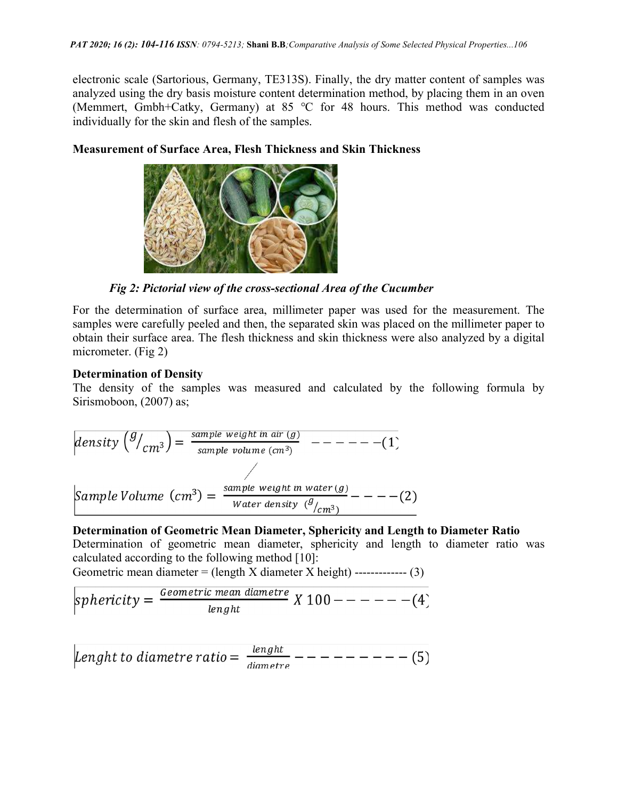electronic scale (Sartorious, Germany, TE313S). Finally, the dry matter content of samples was analyzed using the dry basis moisture content determination method, by placing them in an oven (Memmert, Gmbh+Catky, Germany) at 85 ℃ for 48 hours. This method was conducted individually for the skin and flesh of the samples.

## Measurement of Surface Area, Flesh Thickness and Skin Thickness



Fig 2: Pictorial view of the cross-sectional Area of the Cucumber

For the determination of surface area, millimeter paper was used for the measurement. The samples were carefully peeled and then, the separated skin was placed on the millimeter paper to obtain their surface area. The flesh thickness and skin thickness were also analyzed by a digital micrometer. (Fig 2)

# Determination of Density

The density of the samples was measured and calculated by the following formula by Sirismoboon, (2007) as;

 

# Determination of Geometric Mean Diameter, Sphericity and Length to Diameter Ratio Determination of geometric mean diameter, sphericity and length to diameter ratio was calculated according to the following method [10]:

Geometric mean diameter  $=$  (length X diameter X height) -------------- (3)

$$
sphericity = \frac{Geometric\ mean\ diameter}{length} \ X\ 100 --- --- -(4)
$$

Lenght to diametre ratio =  $\frac{length}{diameter}$ -------- (5)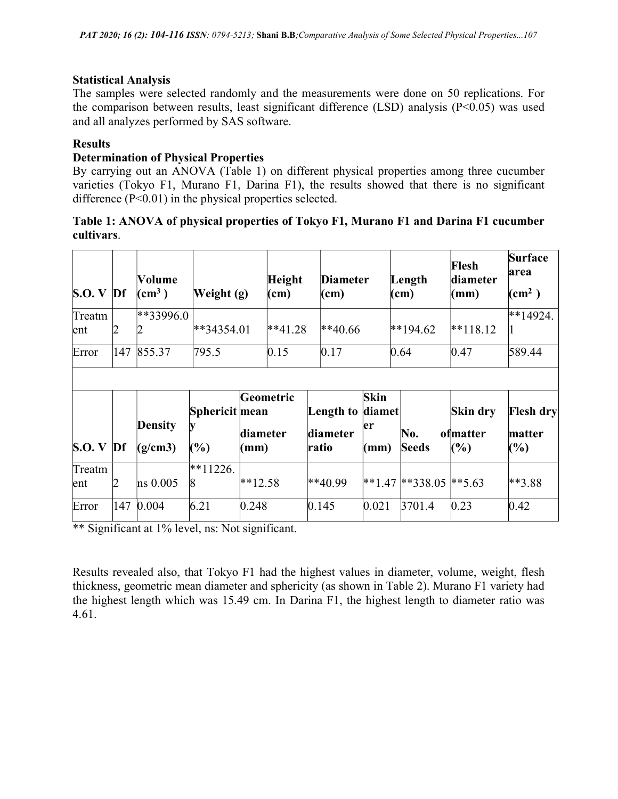## Statistical Analysis

The samples were selected randomly and the measurements were done on 50 replications. For the comparison between results, least significant difference (LSD) analysis (P<0.05) was used and all analyzes performed by SAS software.

## Results

## Determination of Physical Properties

By carrying out an ANOVA (Table 1) on different physical properties among three cucumber varieties (Tokyo F1, Murano F1, Darina F1), the results showed that there is no significant difference (P<0.01) in the physical properties selected.

## Table 1: ANOVA of physical properties of Tokyo F1, Murano F1 and Darina F1 cucumber cultivars.

| <b>S.O.</b> V | $Df$ | Volume<br>$\sim$ (cm <sup>3</sup> ) | Weight (g)                  |                  | <b>Height</b><br>$\mathbf{(cm)}$ | <b>Diameter</b><br>(cm)        |                                         | Length<br>$\mathbf{(cm)}$ | Flesh<br>diameter<br>(mm)             | <b>Surface</b><br>area<br>$\rm (cm^2)$ |
|---------------|------|-------------------------------------|-----------------------------|------------------|----------------------------------|--------------------------------|-----------------------------------------|---------------------------|---------------------------------------|----------------------------------------|
| Treatm<br>ent | 2    | $*33996.0$                          | $*34354.01$                 |                  | $**41.28$                        | $*40.66$                       |                                         | $*194.62$                 | $**118.12$                            | $**14924.$<br>11                       |
| Error         | 147  | 855.37                              | 795.5                       |                  | 0.15                             | 0.17                           |                                         | 0.64                      | 0.47                                  | 589.44                                 |
| S.O. V        | $Df$ | <b>Density</b><br>(g/cm3)           | Sphericit mean<br>IV<br>(%) | diameter<br>(mm) | Geometric                        | Length to<br>diameter<br>ratio | Skin<br>diamet<br>er<br>$(\mathbf{mm})$ | No.<br><b>Seeds</b>       | Skin dry<br>ofmatter<br>$\frac{6}{6}$ | <b>Flesh dry</b><br>matter<br>(%)      |
| Treatm<br>ent | 2    | $\ln s$ 0.005                       | $*11226.$<br>$\vert 8$      | $*12.58$         |                                  | $*40.99$                       |                                         | $*1.47$ **338.05 **5.63   |                                       | $**3.88$                               |
| Error         | 147  | 0.004                               | 6.21                        | 0.248            |                                  | 0.145                          | 0.021                                   | 3701.4                    | 0.23                                  | 0.42                                   |

\*\* Significant at 1% level, ns: Not significant.

Results revealed also, that Tokyo F1 had the highest values in diameter, volume, weight, flesh thickness, geometric mean diameter and sphericity (as shown in Table 2). Murano F1 variety had the highest length which was 15.49 cm. In Darina F1, the highest length to diameter ratio was 4.61.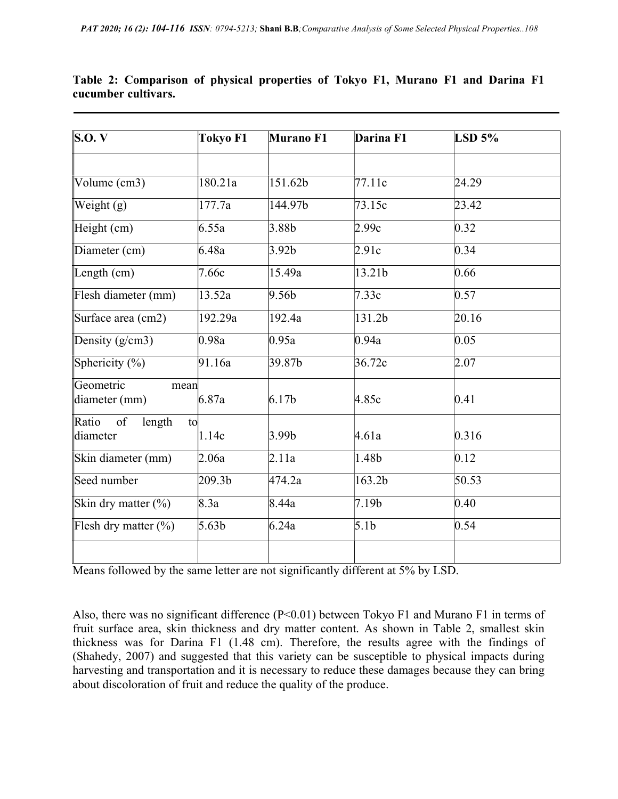| $\bf{S. O. V}$          | <b>Tokyo F1</b>    | Murano F1            | Darina F1         | $LSD$ 5% |
|-------------------------|--------------------|----------------------|-------------------|----------|
|                         |                    |                      |                   |          |
| Volume (cm3)            | 180.21a            | $151.\overline{62b}$ | 77.11c            | 24.29    |
| Weight $(g)$            | 177.7a             | 144.97b              | 73.15c            | 23.42    |
| Height (cm)             | 6.55a              | 3.88 <sub>b</sub>    | 2.99c             | 0.32     |
| Diameter (cm)           | 6.48a              | 3.92 <sub>b</sub>    | 2.91c             | 0.34     |
| Length $(cm)$           | 7.66c              | 15.49a               | 13.21b            | 0.66     |
| Flesh diameter (mm)     | 13.52a             | 9.56 <sub>b</sub>    | 7.33c             | 0.57     |
| Surface area (cm2)      | 192.29a            | 192.4a               | 131.2b            | 20.16    |
| Density $(g/cm3)$       | 0.98a              | 0.95a                | 0.94a             | 0.05     |
| Sphericity $(\%)$       | 91.16a             | 39.87 <sub>b</sub>   | 36.72c            | 2.07     |
| Geometric<br>mean       |                    |                      |                   |          |
| diameter (mm)           | 6.87a              | 6.17 <sub>b</sub>    | 4.85c             | 0.41     |
| Ratio of<br>length      | to                 |                      |                   |          |
| diameter                | 1.14c              | 3.99 <sub>b</sub>    | 4.61a             | 0.316    |
| Skin diameter (mm)      | 2.06a              | 2.11a                | 1.48b             | 0.12     |
| Seed number             | 209.3 <sub>b</sub> | 474.2a               | 163.2b            | 50.53    |
| Skin dry matter $(\%)$  | 8.3a               | 8.44a                | 7.19 <sub>b</sub> | 0.40     |
| Flesh dry matter $(\%)$ | 5.63 <sub>b</sub>  | 6.24a                | 5.1 <sub>b</sub>  | 0.54     |
|                         |                    |                      |                   |          |

Table 2: Comparison of physical properties of Tokyo F1, Murano F1 and Darina F1 cucumber cultivars.

Means followed by the same letter are not significantly different at 5% by LSD.

Also, there was no significant difference (P<0.01) between Tokyo F1 and Murano F1 in terms of fruit surface area, skin thickness and dry matter content. As shown in Table 2, smallest skin thickness was for Darina F1 (1.48 cm). Therefore, the results agree with the findings of (Shahedy, 2007) and suggested that this variety can be susceptible to physical impacts during harvesting and transportation and it is necessary to reduce these damages because they can bring about discoloration of fruit and reduce the quality of the produce.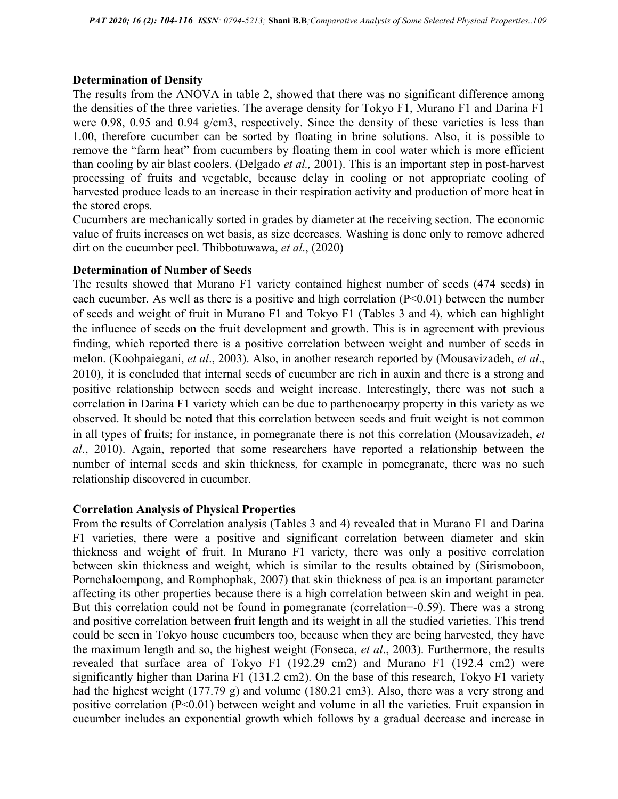### Determination of Density

The results from the ANOVA in table 2, showed that there was no significant difference among the densities of the three varieties. The average density for Tokyo F1, Murano F1 and Darina F1 were 0.98, 0.95 and 0.94 g/cm3, respectively. Since the density of these varieties is less than 1.00, therefore cucumber can be sorted by floating in brine solutions. Also, it is possible to remove the "farm heat" from cucumbers by floating them in cool water which is more efficient than cooling by air blast coolers. (Delgado et al., 2001). This is an important step in post-harvest processing of fruits and vegetable, because delay in cooling or not appropriate cooling of harvested produce leads to an increase in their respiration activity and production of more heat in the stored crops.

Cucumbers are mechanically sorted in grades by diameter at the receiving section. The economic value of fruits increases on wet basis, as size decreases. Washing is done only to remove adhered dirt on the cucumber peel. Thibbotuwawa, et al., (2020)

### Determination of Number of Seeds

The results showed that Murano F1 variety contained highest number of seeds (474 seeds) in each cucumber. As well as there is a positive and high correlation  $(P<0.01)$  between the number of seeds and weight of fruit in Murano F1 and Tokyo F1 (Tables 3 and 4), which can highlight the influence of seeds on the fruit development and growth. This is in agreement with previous finding, which reported there is a positive correlation between weight and number of seeds in melon. (Koohpaiegani, et al., 2003). Also, in another research reported by (Mousavizadeh, et al., 2010), it is concluded that internal seeds of cucumber are rich in auxin and there is a strong and positive relationship between seeds and weight increase. Interestingly, there was not such a correlation in Darina F1 variety which can be due to parthenocarpy property in this variety as we observed. It should be noted that this correlation between seeds and fruit weight is not common in all types of fruits; for instance, in pomegranate there is not this correlation (Mousavizadeh, et al., 2010). Again, reported that some researchers have reported a relationship between the number of internal seeds and skin thickness, for example in pomegranate, there was no such relationship discovered in cucumber.

### Correlation Analysis of Physical Properties

From the results of Correlation analysis (Tables 3 and 4) revealed that in Murano F1 and Darina F1 varieties, there were a positive and significant correlation between diameter and skin thickness and weight of fruit. In Murano F1 variety, there was only a positive correlation between skin thickness and weight, which is similar to the results obtained by (Sirismoboon, Pornchaloempong, and Romphophak, 2007) that skin thickness of pea is an important parameter affecting its other properties because there is a high correlation between skin and weight in pea. But this correlation could not be found in pomegranate (correlation=-0.59). There was a strong and positive correlation between fruit length and its weight in all the studied varieties. This trend could be seen in Tokyo house cucumbers too, because when they are being harvested, they have the maximum length and so, the highest weight (Fonseca, et al., 2003). Furthermore, the results revealed that surface area of Tokyo F1 (192.29 cm2) and Murano F1 (192.4 cm2) were significantly higher than Darina F1 (131.2 cm2). On the base of this research, Tokyo F1 variety had the highest weight (177.79 g) and volume (180.21 cm3). Also, there was a very strong and positive correlation (P<0.01) between weight and volume in all the varieties. Fruit expansion in cucumber includes an exponential growth which follows by a gradual decrease and increase in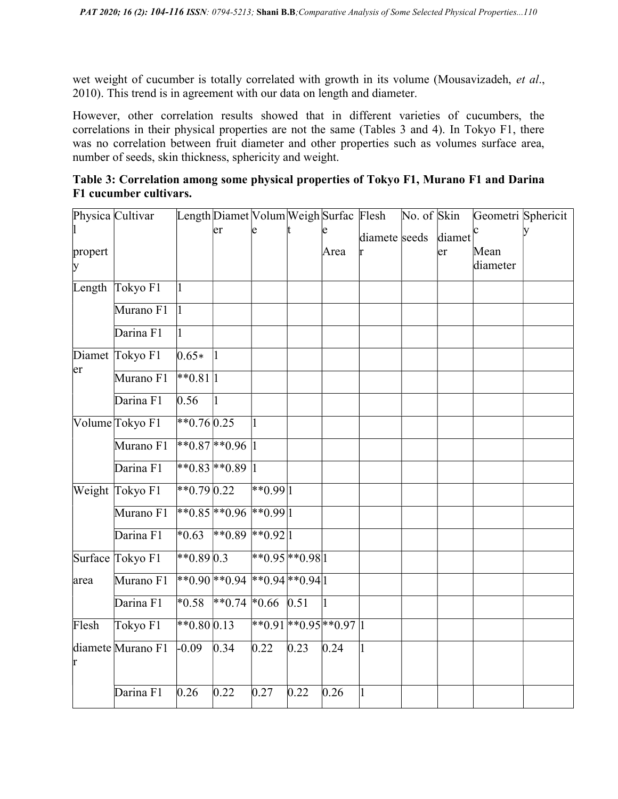wet weight of cucumber is totally correlated with growth in its volume (Mousavizadeh, et al., 2010). This trend is in agreement with our data on length and diameter.

However, other correlation results showed that in different varieties of cucumbers, the correlations in their physical properties are not the same (Tables 3 and 4). In Tokyo F1, there was no correlation between fruit diameter and other properties such as volumes surface area, number of seeds, skin thickness, sphericity and weight.

|         | Physica Cultivar  |               | Length Diamet Volum Weigh Surfac Flesh |                   |      |                              |               | $\overline{\text{No. of Skin}}$ |        |          | Geometri Sphericit |
|---------|-------------------|---------------|----------------------------------------|-------------------|------|------------------------------|---------------|---------------------------------|--------|----------|--------------------|
|         |                   |               | er                                     |                   |      |                              | diamete seeds |                                 | diamet |          |                    |
| propert |                   |               |                                        |                   |      | Area                         |               |                                 | er     | Mean     |                    |
| ly      |                   |               |                                        |                   |      |                              |               |                                 |        | diameter |                    |
|         | Length Tokyo F1   | 1             |                                        |                   |      |                              |               |                                 |        |          |                    |
|         | Murano F1         | $\vert$ 1     |                                        |                   |      |                              |               |                                 |        |          |                    |
|         | Darina F1         | 1             |                                        |                   |      |                              |               |                                 |        |          |                    |
|         | Diamet Tokyo F1   | $0.65*$       |                                        |                   |      |                              |               |                                 |        |          |                    |
| er      | Murano F1         | $*$ 0.81      |                                        |                   |      |                              |               |                                 |        |          |                    |
|         | Darina F1         | 0.56          |                                        |                   |      |                              |               |                                 |        |          |                    |
|         | Volume Tokyo F1   | $*0.76\,0.25$ |                                        |                   |      |                              |               |                                 |        |          |                    |
|         | Murano F1         |               | $*$ 0.87 $*$ 0.96  1                   |                   |      |                              |               |                                 |        |          |                    |
|         | Darina F1         |               | $*$ 0.83 $*$ 0.89 1                    |                   |      |                              |               |                                 |        |          |                    |
|         | Weight Tokyo F1   | $*$ 0.79 0.22 |                                        | $*$ 0.99 1        |      |                              |               |                                 |        |          |                    |
|         | Murano F1         |               | $*0.85$ $*0.96$ $*0.99$                |                   |      |                              |               |                                 |        |          |                    |
|         | Darina F1         |               | $*0.63$ $*0.89$ $*0.92$ 1              |                   |      |                              |               |                                 |        |          |                    |
|         | Surface Tokyo F1  | $*0.8903$     |                                        | $*0.95**0.981$    |      |                              |               |                                 |        |          |                    |
| area    | Murano F1         |               | $*0.90**0.94**0.94**0.94$              |                   |      |                              |               |                                 |        |          |                    |
|         | Darina F1         |               | $*0.58$ $*0.74$ $*0.66$                |                   | 0.51 | 1                            |               |                                 |        |          |                    |
| Flesh   | Tokyo F1          | $*0.80\,0.13$ |                                        |                   |      | $*$ 0.91 $*$ 0.95 $*$ 0.97 1 |               |                                 |        |          |                    |
| r       | diamete Murano F1 | $-0.09$       | 0.34                                   | $\overline{0.22}$ | 0.23 | 0.24                         | $\mathbf{1}$  |                                 |        |          |                    |
|         | Darina F1         | 0.26          | 0.22                                   | 0.27              | 0.22 | 0.26                         | $\vert$ 1     |                                 |        |          |                    |

| Table 3: Correlation among some physical properties of Tokyo F1, Murano F1 and Darina |  |  |  |
|---------------------------------------------------------------------------------------|--|--|--|
| F1 cucumber cultivars.                                                                |  |  |  |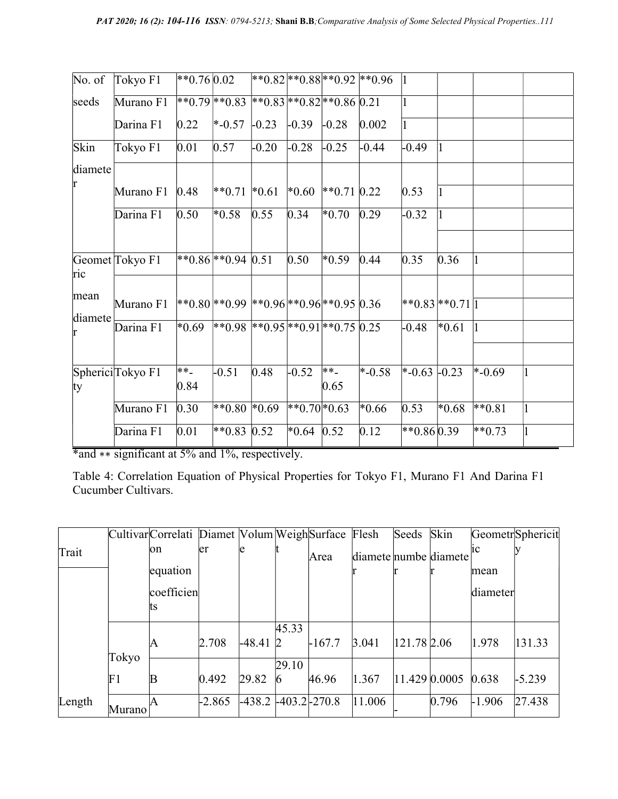| No. of       | Tokyo F1         | $*0.760.02$  |                                                      |         |              |               | $ **0.82 **0.88 **0.92 **0.96 $ | $\vert$ 1          |               |                       |  |
|--------------|------------------|--------------|------------------------------------------------------|---------|--------------|---------------|---------------------------------|--------------------|---------------|-----------------------|--|
| seeds        | Murano F1        |              | $*0.79$ $*0.83$ $*0.83$ $*0.83$ $*0.82$ $*0.86$ 0.21 |         |              |               |                                 |                    |               |                       |  |
|              | Darina F1        | 0.22         | $*$ -0.57                                            | $-0.23$ | $-0.39$      | $-0.28$       | 0.002                           | $\vert$ 1          |               |                       |  |
| Skin         | Tokyo F1         | 0.01         | 0.57                                                 | $-0.20$ | $-0.28$      | $-0.25$       | $-0.44$                         | $-0.49$            |               |                       |  |
| diamete      |                  |              |                                                      |         |              |               |                                 |                    |               |                       |  |
| r            | Murano F1        | 0.48         | $*0.71 * 0.61$                                       |         | $*0.60$      | $*$ 0.71 0.22 |                                 | 0.53               |               |                       |  |
|              | Darina F1        | 0.50         | $*0.58$                                              | 0.55    | 0.34         | $*0.70$       | 0.29                            | $-0.32$            |               |                       |  |
|              |                  |              |                                                      |         |              |               |                                 |                    |               |                       |  |
| ric          | Geomet Tokyo F1  |              | $*0.86**0.94$ 0.51                                   |         | 0.50         | $*0.59$       | 0.44                            | 0.35               | 0.36          |                       |  |
| mean         |                  |              |                                                      |         |              |               |                                 |                    |               |                       |  |
|              | Murano F1        |              | $ **0.80 **0.99 **0.96 **0.96 **0.95 0.36$           |         |              |               |                                 | $*0.83**0.71 1$    |               |                       |  |
| diamete<br>r | Darina F1        | $*0.69$      | $*0.98$ $*0.95$ $*0.91$ $*0.75$ 0.25                 |         |              |               |                                 | $-0.48$            | $\bar{*}0.61$ |                       |  |
|              |                  |              |                                                      |         |              |               |                                 |                    |               |                       |  |
| ty           | SphericiTokyo F1 | $**$<br>0.84 | $-0.51$                                              | 0.48    | $-0.52$      | $**$<br>0.65  | $\overline{*}$ -0.58            | $\ast$ -0.63 -0.23 |               | $* -0.69$             |  |
|              | Murano F1        | 0.30         | **0.80 $*0.69$                                       |         | $*0.70*0.63$ |               | $*0.66$                         | 0.53               | $*0.68$       | $*$ <sup>6</sup> 0.81 |  |
|              | Darina F1        | 0.01         | $*$ <sup>6</sup> 0.83                                | 0.52    | $*0.64$      | 0.52          | 0.12                            | $*0.860.39$        |               | $**0.73$              |  |

\*and ∗∗ significant at 5% and 1%, respectively.

Table 4: Correlation Equation of Physical Properties for Tokyo F1, Murano F1 And Darina F1 Cucumber Cultivars.

|        |         | Cultivar Correlati Diamet Volum Weigh Surface Flesh |          |                            |                       |          |                       | Seeds       | Skin                |          | GeometrSphericit |
|--------|---------|-----------------------------------------------------|----------|----------------------------|-----------------------|----------|-----------------------|-------------|---------------------|----------|------------------|
| Trait  |         | юn                                                  | er       | le                         |                       | Area     | diamete numbe diamete |             |                     | nc       |                  |
|        |         | equation                                            |          |                            |                       |          |                       |             |                     | mean     |                  |
|        |         | coefficien                                          |          |                            |                       |          |                       |             |                     | diameter |                  |
|        |         | ιts                                                 |          |                            |                       |          |                       |             |                     |          |                  |
|        |         | ΙA                                                  | 2.708    | $-48.41$                   | 45.33<br>$\mathbb{Z}$ | $-167.7$ | 3.041                 | 121.78 2.06 |                     | 1.978    | 131.33           |
|        | Tokyo   |                                                     |          |                            | 29.10                 |          |                       |             |                     |          |                  |
|        | F1      |                                                     | 0.492    | 29.82                      | 16                    | 46.96    | 1.367                 |             | 11.429 0.0005 0.638 |          | $-5.239$         |
| Length | Murano! |                                                     | $-2.865$ | $-438.2$ $-403.2$ $-270.8$ |                       |          | 11.006                |             | 0.796               | $-1.906$ | 27.438           |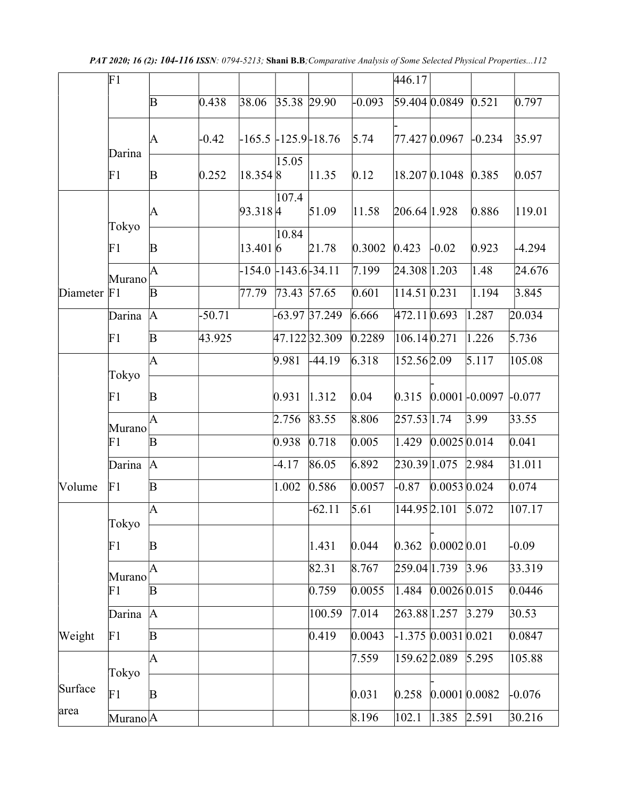PAT 2020; 16 (2): 104-116 ISSN: 0794-5213; Shani B.B; Comparative Analysis of Some Selected Physical Properties...112

|          | F1                    |             |          |                          |             |                 |          | 446.17           |                       |                  |          |
|----------|-----------------------|-------------|----------|--------------------------|-------------|-----------------|----------|------------------|-----------------------|------------------|----------|
|          |                       | $\mathbf B$ | 0.438    | 38.06                    | 35.38 29.90 |                 | $-0.093$ | 59.404 0.0849    |                       | 0.521            | 0.797    |
|          |                       | A           | $-0.42$  | $-165.5 - 125.9 - 18.76$ |             |                 | 5.74     | 77.427 0.0967    |                       | $-0.234$         | 35.97    |
|          | Darina<br>F1          | $\mathbf B$ | 0.252    | $18.354$ <sup>8</sup>    | 15.05       | 11.35           | 0.12     | $18.207\,0.1048$ |                       | 0.385            | 0.057    |
|          |                       | A           |          | $93.318 \,   4$          | 107.4       | 51.09           | 11.58    | 206.64 1.928     |                       | 0.886            | 119.01   |
|          | Tokyo<br>F1           | B           |          | 13.401 6                 | 10.84       | 21.78           | 0.3002   | 0.423            | $-0.02$               | 0.923            | $-4.294$ |
|          | Murano                | A           |          | $-154.0 - 143.6 - 34.11$ |             |                 | 7.199    | 24.308 1.203     |                       | 1.48             | 24.676   |
| Diameter | F <sub>1</sub>        | $\mathbf B$ |          | 77.79                    | 73.43 57.65 |                 | 0.601    | 114.51 0.231     |                       | 1.194            | 3.845    |
|          | Darina                | A           | $-50.71$ |                          |             | $-63.97$ 37.249 | 6.666    | 472.11 0.693     |                       | 1.287            | 20.034   |
|          | F1                    | $\mathbf B$ | 43.925   |                          |             | 47.122 32.309   | 0.2289   | $106.14\,0.271$  |                       | 1.226            | 5.736    |
|          |                       | A           |          |                          | 9.981       | $-44.19$        | 6.318    | 152.56 2.09      |                       | 5.117            | 105.08   |
|          | Tokyo<br>F1           | B           |          |                          | 0.931       | 1.312           | 0.04     | 0.315            |                       | $0.0001$ -0.0097 | $-0.077$ |
|          | Murano                | A           |          |                          | 2.756       | 83.55           | 8.806    | 257.53 1.74      |                       | 3.99             | 33.55    |
|          | F1                    | $\mathbf B$ |          |                          | 0.938       | 0.718           | 0.005    | 1.429            | $0.0025 \, 0.014$     |                  | 0.041    |
|          | Darina                | A           |          |                          | -4.17       | 86.05           | 6.892    | 230.39 1.075     |                       | 2.984            | 31.011   |
| Volume   | F1                    | $\mathbf B$ |          |                          | 1.002       | 0.586           | 0.0057   | $-0.87$          | 0.005300.024          |                  | 0.074    |
|          | Tokyo                 | A           |          |                          |             | $-62.11$        | 5.61     | 144.95 2.101     |                       | 5.072            | 107.17   |
|          | F1                    | B           |          |                          |             | 1.431           | 0.044    | 0.362            | 0.0002 0.01           |                  | $-0.09$  |
|          | Murano                | A           |          |                          |             | 82.31           | 8.767    | 259.04 1.739     |                       | 3.96             | 33.319   |
|          | F1                    | B           |          |                          |             | 0.759           | 0.0055   | 1.484            | $0.0026\,0.015$       |                  | 0.0446   |
|          | Darina                | A           |          |                          |             | 100.59          | 7.014    | 263.88 1.257     |                       | 3.279            | 30.53    |
| Weight   | F1                    | $\mathbf B$ |          |                          |             | 0.419           | 0.0043   |                  | $-1.375$ 0.0031 0.021 |                  | 0.0847   |
|          | Tokyo                 | A           |          |                          |             |                 | 7.559    | 159.62 2.089     |                       | 5.295            | 105.88   |
| Surface  | F1                    | $\mathbf B$ |          |                          |             |                 | 0.031    | 0.258            | $0.0001$ $0.0082$     |                  | $-0.076$ |
| area     | Murano <sup> </sup> A |             |          |                          |             |                 | 8.196    | 102.1            | $1.385$ 2.591         |                  | 30.216   |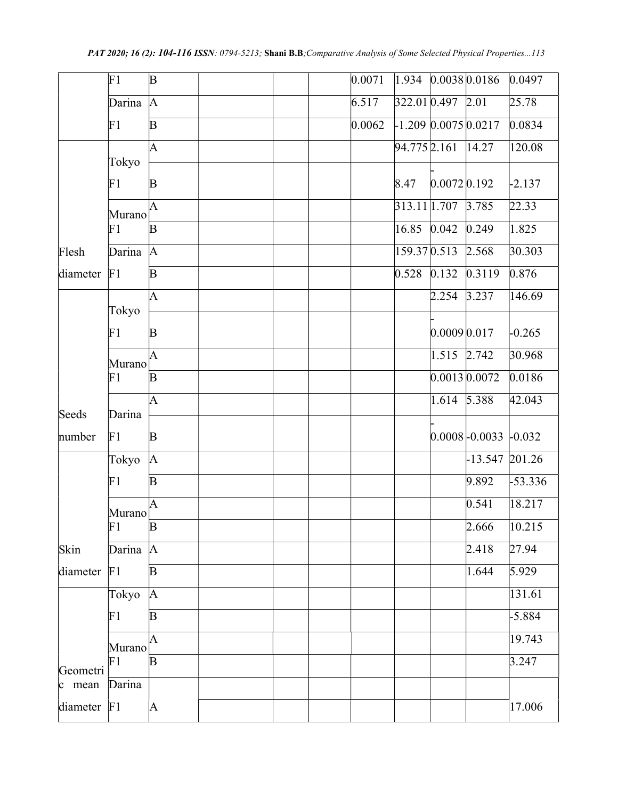|                                  | F1             | $\mathbf B$  |  | 0.0071 |                   |                           | 1.934 0.0038 0.0186    | 0.0497         |
|----------------------------------|----------------|--------------|--|--------|-------------------|---------------------------|------------------------|----------------|
|                                  | Darina         | A            |  | 6.517  | 322.01 0.497 2.01 |                           |                        | 25.78          |
|                                  | F1             | $\mathbf B$  |  | 0.0062 |                   |                           | $-1.209$ 0.0075 0.0217 | 0.0834         |
|                                  |                | A            |  |        | 94.775 2.161      |                           | 14.27                  | 120.08         |
|                                  | Tokyo          |              |  |        |                   |                           |                        |                |
|                                  | F1             | $\mathbf B$  |  |        | 8.47              | $0.0072$ <sub>0.192</sub> |                        | $-2.137$       |
|                                  | Murano         | A            |  |        | 313.11 1.707      |                           | 3.785                  | 22.33          |
|                                  | F1             | $\mathbf B$  |  |        | 16.85             | 0.042                     | 0.249                  | 1.825          |
| Flesh                            | Darina         | A            |  |        | 159.37 0.513      |                           | 2.568                  | 30.303         |
| diameter                         | F1             | $\mathbf B$  |  |        | 0.528             | 0.132                     | 0.3119                 | 0.876          |
|                                  |                | A            |  |        |                   | 2.254                     | 3.237                  | 146.69         |
|                                  | Tokyo          |              |  |        |                   |                           |                        |                |
|                                  | F1             | $\mathbf B$  |  |        |                   | 0.0009 0.017              |                        | $-0.265$       |
|                                  | Murano         | A            |  |        |                   | 1.515 2.742               |                        | 30.968         |
|                                  | F1             | $\mathbf B$  |  |        |                   |                           | 0.001300.0072          | 0.0186         |
|                                  |                | A            |  |        |                   | 1.614                     | 5.388                  | 42.043         |
| Seeds                            | Darina         |              |  |        |                   |                           |                        |                |
| number                           | F1             | $\mathbf B$  |  |        |                   |                           | $ 0.0008 $ -0.0033     | $-0.032$       |
|                                  | Tokyo          | A            |  |        |                   |                           | $-13.547$ 201.26       |                |
|                                  | F1             | $\mathbf B$  |  |        |                   |                           | 9.892                  | $-53.336$      |
|                                  | Murano         | A            |  |        |                   |                           | 0.541                  | 18.217         |
|                                  | F1             | $\mathbf B$  |  |        |                   |                           | 2.666                  | 10.215         |
| Skin                             | Darina         | A            |  |        |                   |                           | 2.418                  | $\sqrt{27.94}$ |
| diameter                         | F <sub>1</sub> | $\mathbf{B}$ |  |        |                   |                           | 1.644                  | $\sqrt{5.929}$ |
|                                  | Tokyo          | A            |  |        |                   |                           |                        | 131.61         |
|                                  | F1             | $\mathbf B$  |  |        |                   |                           |                        | $-5.884$       |
|                                  |                | A            |  |        |                   |                           |                        | 19.743         |
|                                  | Murano<br>F1   | $\mathbf B$  |  |        |                   |                           |                        | 3.247          |
| Geometri<br>$\vert c \vert$ mean | Darina         |              |  |        |                   |                           |                        |                |
|                                  | F <sub>1</sub> |              |  |        |                   |                           |                        |                |
| diameter                         |                | A            |  |        |                   |                           |                        | 17.006         |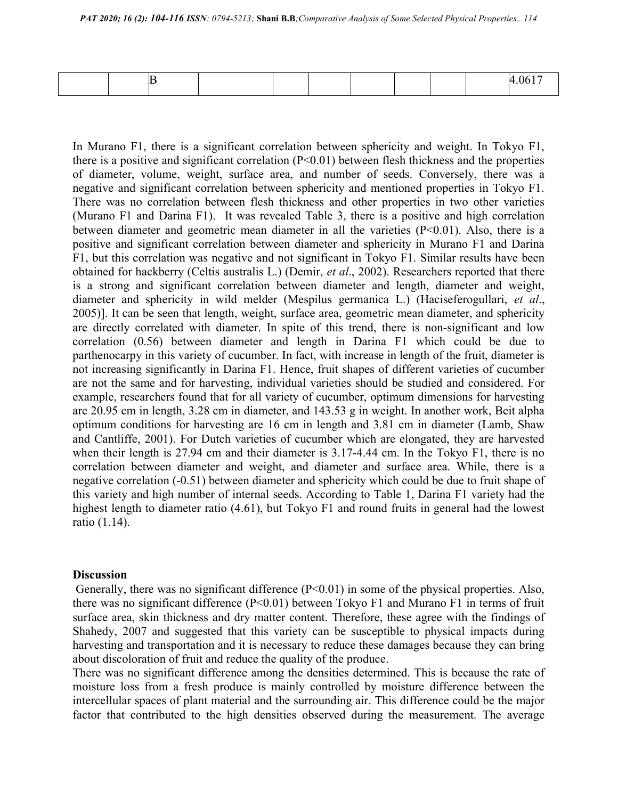|--|

In Murano F1, there is a significant correlation between sphericity and weight. In Tokyo F1, there is a positive and significant correlation  $(P<0.01)$  between flesh thickness and the properties of diameter, volume, weight, surface area, and number of seeds. Conversely, there was a negative and significant correlation between sphericity and mentioned properties in Tokyo F1. There was no correlation between flesh thickness and other properties in two other varieties (Murano F1 and Darina F1). It was revealed Table 3, there is a positive and high correlation between diameter and geometric mean diameter in all the varieties  $(P<0.01)$ . Also, there is a positive and significant correlation between diameter and sphericity in Murano F1 and Darina F1, but this correlation was negative and not significant in Tokyo F1. Similar results have been obtained for hackberry (Celtis australis L.) (Demir, et al., 2002). Researchers reported that there is a strong and significant correlation between diameter and length, diameter and weight, diameter and sphericity in wild melder (Mespilus germanica L.) (Haciseferogullari, et al., 2005)]. It can be seen that length, weight, surface area, geometric mean diameter, and sphericity are directly correlated with diameter. In spite of this trend, there is non-significant and low correlation (0.56) between diameter and length in Darina F1 which could be due to parthenocarpy in this variety of cucumber. In fact, with increase in length of the fruit, diameter is not increasing significantly in Darina F1. Hence, fruit shapes of different varieties of cucumber are not the same and for harvesting, individual varieties should be studied and considered. For example, researchers found that for all variety of cucumber, optimum dimensions for harvesting are 20.95 cm in length, 3.28 cm in diameter, and 143.53 g in weight. In another work, Beit alpha optimum conditions for harvesting are 16 cm in length and 3.81 cm in diameter (Lamb, Shaw and Cantliffe, 2001). For Dutch varieties of cucumber which are elongated, they are harvested when their length is 27.94 cm and their diameter is 3.17-4.44 cm. In the Tokyo F1, there is no correlation between diameter and weight, and diameter and surface area. While, there is a negative correlation (-0.51) between diameter and sphericity which could be due to fruit shape of this variety and high number of internal seeds. According to Table 1, Darina F1 variety had the highest length to diameter ratio (4.61), but Tokyo F1 and round fruits in general had the lowest ratio (1.14).

#### **Discussion**

Generally, there was no significant difference  $(P<0.01)$  in some of the physical properties. Also, there was no significant difference (P<0.01) between Tokyo F1 and Murano F1 in terms of fruit surface area, skin thickness and dry matter content. Therefore, these agree with the findings of Shahedy, 2007 and suggested that this variety can be susceptible to physical impacts during harvesting and transportation and it is necessary to reduce these damages because they can bring about discoloration of fruit and reduce the quality of the produce.

There was no significant difference among the densities determined. This is because the rate of moisture loss from a fresh produce is mainly controlled by moisture difference between the intercellular spaces of plant material and the surrounding air. This difference could be the major factor that contributed to the high densities observed during the measurement. The average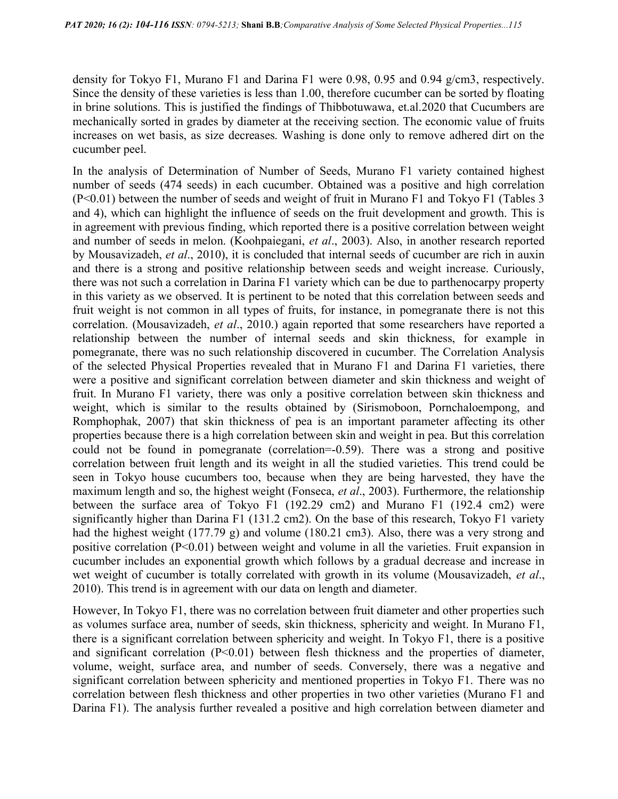density for Tokyo F1, Murano F1 and Darina F1 were 0.98, 0.95 and 0.94  $g/cm3$ , respectively. Since the density of these varieties is less than 1.00, therefore cucumber can be sorted by floating in brine solutions. This is justified the findings of Thibbotuwawa, et.al.2020 that Cucumbers are mechanically sorted in grades by diameter at the receiving section. The economic value of fruits increases on wet basis, as size decreases. Washing is done only to remove adhered dirt on the cucumber peel.

In the analysis of Determination of Number of Seeds, Murano F1 variety contained highest number of seeds (474 seeds) in each cucumber. Obtained was a positive and high correlation (P<0.01) between the number of seeds and weight of fruit in Murano F1 and Tokyo F1 (Tables 3 and 4), which can highlight the influence of seeds on the fruit development and growth. This is in agreement with previous finding, which reported there is a positive correlation between weight and number of seeds in melon. (Koohpaiegani, et al., 2003). Also, in another research reported by Mousavizadeh, et al., 2010), it is concluded that internal seeds of cucumber are rich in auxin and there is a strong and positive relationship between seeds and weight increase. Curiously, there was not such a correlation in Darina F1 variety which can be due to parthenocarpy property in this variety as we observed. It is pertinent to be noted that this correlation between seeds and fruit weight is not common in all types of fruits, for instance, in pomegranate there is not this correlation. (Mousavizadeh, et al., 2010.) again reported that some researchers have reported a relationship between the number of internal seeds and skin thickness, for example in pomegranate, there was no such relationship discovered in cucumber. The Correlation Analysis of the selected Physical Properties revealed that in Murano F1 and Darina F1 varieties, there were a positive and significant correlation between diameter and skin thickness and weight of fruit. In Murano F1 variety, there was only a positive correlation between skin thickness and weight, which is similar to the results obtained by (Sirismoboon, Pornchaloempong, and Romphophak, 2007) that skin thickness of pea is an important parameter affecting its other properties because there is a high correlation between skin and weight in pea. But this correlation could not be found in pomegranate (correlation=-0.59). There was a strong and positive correlation between fruit length and its weight in all the studied varieties. This trend could be seen in Tokyo house cucumbers too, because when they are being harvested, they have the maximum length and so, the highest weight (Fonseca, et al., 2003). Furthermore, the relationship between the surface area of Tokyo F1 (192.29 cm2) and Murano F1 (192.4 cm2) were significantly higher than Darina F1 (131.2 cm2). On the base of this research, Tokyo F1 variety had the highest weight (177.79 g) and volume (180.21 cm3). Also, there was a very strong and positive correlation (P<0.01) between weight and volume in all the varieties. Fruit expansion in cucumber includes an exponential growth which follows by a gradual decrease and increase in wet weight of cucumber is totally correlated with growth in its volume (Mousavizadeh, et al., 2010). This trend is in agreement with our data on length and diameter.

However, In Tokyo F1, there was no correlation between fruit diameter and other properties such as volumes surface area, number of seeds, skin thickness, sphericity and weight. In Murano F1, there is a significant correlation between sphericity and weight. In Tokyo F1, there is a positive and significant correlation  $(P<0.01)$  between flesh thickness and the properties of diameter, volume, weight, surface area, and number of seeds. Conversely, there was a negative and significant correlation between sphericity and mentioned properties in Tokyo F1. There was no correlation between flesh thickness and other properties in two other varieties (Murano F1 and Darina F1). The analysis further revealed a positive and high correlation between diameter and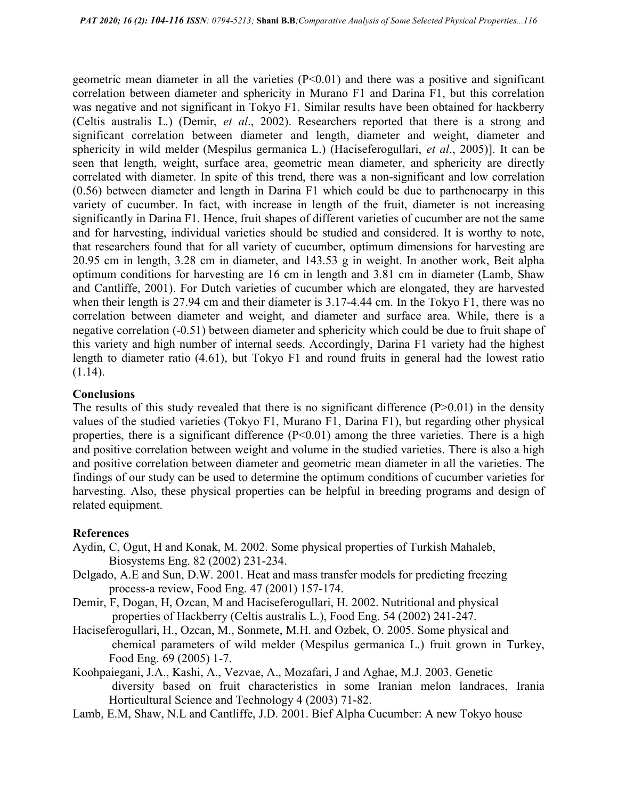geometric mean diameter in all the varieties  $(P<0.01)$  and there was a positive and significant correlation between diameter and sphericity in Murano F1 and Darina F1, but this correlation was negative and not significant in Tokyo F1. Similar results have been obtained for hackberry (Celtis australis L.) (Demir, et al., 2002). Researchers reported that there is a strong and significant correlation between diameter and length, diameter and weight, diameter and sphericity in wild melder (Mespilus germanica L.) (Haciseferogullari, et al., 2005)]. It can be seen that length, weight, surface area, geometric mean diameter, and sphericity are directly correlated with diameter. In spite of this trend, there was a non-significant and low correlation (0.56) between diameter and length in Darina F1 which could be due to parthenocarpy in this variety of cucumber. In fact, with increase in length of the fruit, diameter is not increasing significantly in Darina F1. Hence, fruit shapes of different varieties of cucumber are not the same and for harvesting, individual varieties should be studied and considered. It is worthy to note, that researchers found that for all variety of cucumber, optimum dimensions for harvesting are 20.95 cm in length, 3.28 cm in diameter, and 143.53 g in weight. In another work, Beit alpha optimum conditions for harvesting are 16 cm in length and 3.81 cm in diameter (Lamb, Shaw and Cantliffe, 2001). For Dutch varieties of cucumber which are elongated, they are harvested when their length is 27.94 cm and their diameter is 3.17-4.44 cm. In the Tokyo F1, there was no correlation between diameter and weight, and diameter and surface area. While, there is a negative correlation (-0.51) between diameter and sphericity which could be due to fruit shape of this variety and high number of internal seeds. Accordingly, Darina F1 variety had the highest length to diameter ratio (4.61), but Tokyo F1 and round fruits in general had the lowest ratio  $(1.14).$ 

### **Conclusions**

The results of this study revealed that there is no significant difference  $(P>0.01)$  in the density values of the studied varieties (Tokyo F1, Murano F1, Darina F1), but regarding other physical properties, there is a significant difference  $(P<0.01)$  among the three varieties. There is a high and positive correlation between weight and volume in the studied varieties. There is also a high and positive correlation between diameter and geometric mean diameter in all the varieties. The findings of our study can be used to determine the optimum conditions of cucumber varieties for harvesting. Also, these physical properties can be helpful in breeding programs and design of related equipment.

### **References**

- Aydin, C, Ogut, H and Konak, M. 2002. Some physical properties of Turkish Mahaleb, Biosystems Eng. 82 (2002) 231-234.
- Delgado, A.E and Sun, D.W. 2001. Heat and mass transfer models for predicting freezing process-a review, Food Eng. 47 (2001) 157-174.
- Demir, F, Dogan, H, Ozcan, M and Haciseferogullari, H. 2002. Nutritional and physical properties of Hackberry (Celtis australis L.), Food Eng. 54 (2002) 241-247.
- Haciseferogullari, H., Ozcan, M., Sonmete, M.H. and Ozbek, O. 2005. Some physical and chemical parameters of wild melder (Mespilus germanica L.) fruit grown in Turkey, Food Eng. 69 (2005) 1-7.
- Koohpaiegani, J.A., Kashi, A., Vezvae, A., Mozafari, J and Aghae, M.J. 2003. Genetic diversity based on fruit characteristics in some Iranian melon landraces, Irania Horticultural Science and Technology 4 (2003) 71-82.
- Lamb, E.M, Shaw, N.L and Cantliffe, J.D. 2001. Bief Alpha Cucumber: A new Tokyo house